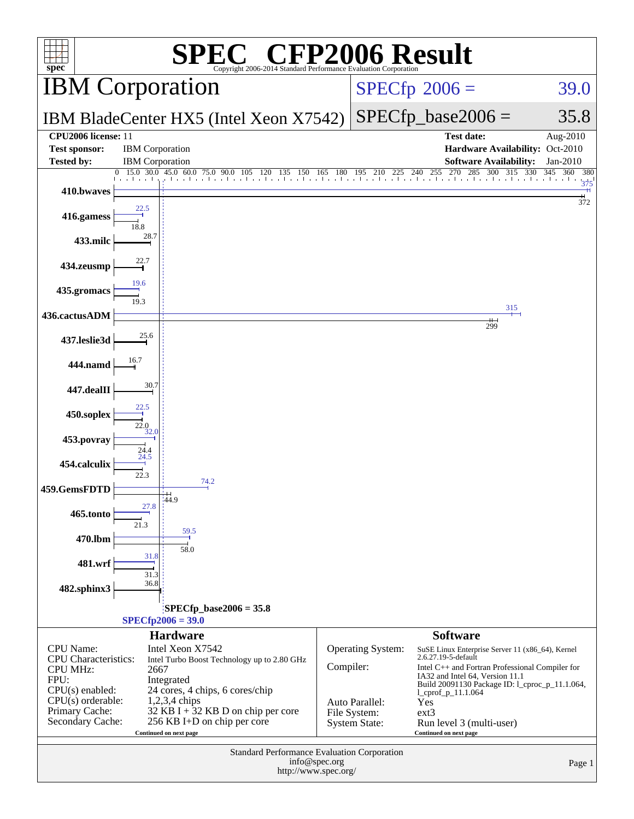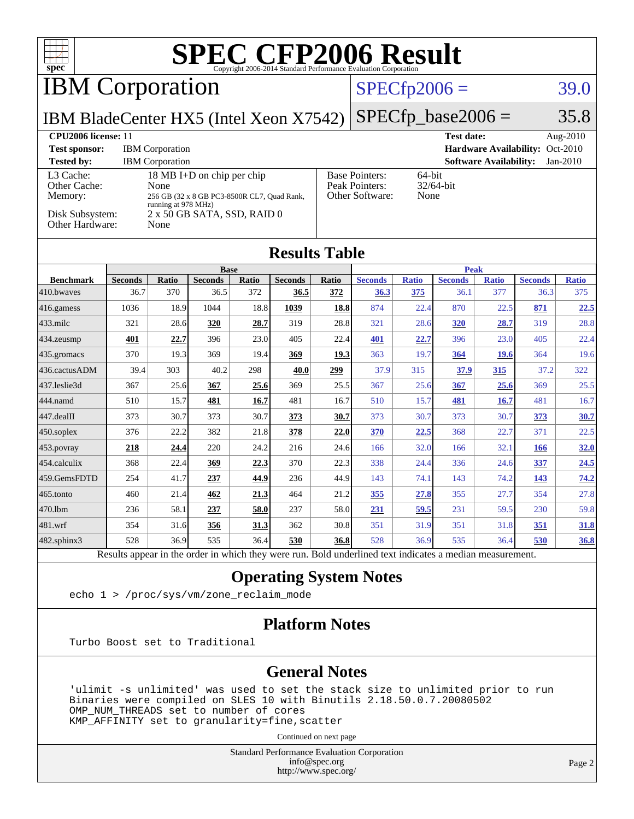| $spec^*$                                                                   |                        |                                                  |                                                                                                          |              | <b>SPEC CFP2006 Result</b><br>Copyright 2006-2014 Standard Performance Evaluation Corporation |              |                                                            |                     |                        |                               |                                 |                        |
|----------------------------------------------------------------------------|------------------------|--------------------------------------------------|----------------------------------------------------------------------------------------------------------|--------------|-----------------------------------------------------------------------------------------------|--------------|------------------------------------------------------------|---------------------|------------------------|-------------------------------|---------------------------------|------------------------|
| <b>IBM</b> Corporation                                                     |                        |                                                  |                                                                                                          |              |                                                                                               |              |                                                            | $SPECfp2006 =$      |                        |                               |                                 | 39.0                   |
| IBM BladeCenter HX5 (Intel Xeon X7542)                                     |                        |                                                  |                                                                                                          |              |                                                                                               |              |                                                            |                     | $SPECfp\_base2006 =$   |                               |                                 | 35.8                   |
| CPU2006 license: 11<br><b>Test sponsor:</b><br><b>Tested by:</b>           |                        | <b>IBM</b> Corporation<br><b>IBM</b> Corporation |                                                                                                          |              |                                                                                               |              |                                                            |                     | <b>Test date:</b>      | <b>Software Availability:</b> | Hardware Availability: Oct-2010 | Aug-2010<br>$Jan-2010$ |
| L3 Cache:<br>Other Cache:<br>Memory:<br>Disk Subsystem:<br>Other Hardware: |                        | None<br>running at 978 MHz)<br>None              | 18 MB I+D on chip per chip<br>256 GB (32 x 8 GB PC3-8500R CL7, Quad Rank,<br>2 x 50 GB SATA, SSD, RAID 0 |              |                                                                                               |              | <b>Base Pointers:</b><br>Peak Pointers:<br>Other Software: | $64$ -bit<br>None   | 32/64-bit              |                               |                                 |                        |
|                                                                            |                        |                                                  |                                                                                                          |              | <b>Results Table</b>                                                                          |              |                                                            |                     |                        |                               |                                 |                        |
|                                                                            |                        |                                                  | <b>Base</b>                                                                                              |              |                                                                                               |              | <b>Peak</b>                                                |                     |                        |                               |                                 |                        |
| <b>Benchmark</b><br>410.bwayes                                             | <b>Seconds</b><br>36.7 | <b>Ratio</b><br>370                              | <b>Seconds</b><br>36.5                                                                                   | Ratio<br>372 | <b>Seconds</b><br>36.5                                                                        | Ratio<br>372 | <b>Seconds</b><br>36.3                                     | <b>Ratio</b><br>375 | <b>Seconds</b><br>36.1 | <b>Ratio</b><br>377           | <b>Seconds</b><br>36.3          | <b>Ratio</b><br>375    |
| 416.gamess                                                                 | 1036                   | 18.9                                             | 1044                                                                                                     | 18.8         | 1039                                                                                          | 18.8         | 874                                                        | 22.4                | 870                    | 22.5                          | 871                             | <u>22.5</u>            |
| 433.milc                                                                   | 321                    | 28.6                                             | 320                                                                                                      | 28.7         | 319                                                                                           | 28.8         | 321                                                        | 28.6                | <b>320</b>             | 28.7                          | 319                             | 28.8                   |
| 434.zeusmp                                                                 | 401                    | 22.7                                             | 396                                                                                                      | 23.0         | 405                                                                                           | 22.4         | 401                                                        | 22.7                | 396                    | 23.0                          | 405                             | 22.4                   |
| 435.gromacs                                                                | 370                    | 19.3                                             | 369                                                                                                      | 19.4         | 369                                                                                           | 19.3         | 363                                                        | 19.7                | 364                    | <b>19.6</b>                   | 364                             | 19.6                   |
| 436.cactusADM                                                              | 39.4                   | 303                                              | 40.2                                                                                                     | 298          | 40.0                                                                                          | 299          | 37.9                                                       | 315                 | 37.9                   | 315                           | 37.2                            | 322                    |
| 437.leslie3d                                                               | 367                    | 25.6                                             | 367                                                                                                      | 25.6         | 369                                                                                           | 25.5         | 367                                                        | 25.6                | 367                    | 25.6                          | 369                             | 25.5                   |
| 444.namd                                                                   | 510                    | 15.7                                             | 481                                                                                                      | 16.7         | 481                                                                                           | 16.7         | 510                                                        | 15.7                | 481                    | 16.7                          | 481                             | 16.7                   |
| 447.dealII                                                                 | 373                    | 30.7                                             | 373                                                                                                      | 30.7         | 373                                                                                           | 30.7         | 373                                                        | 30.7                | 373                    | 30.7                          | 373                             | 30.7                   |
| 450.soplex                                                                 | 376                    | 22.2                                             | 382                                                                                                      | 21.8         | 378                                                                                           | 22.0         | 370                                                        | 22.5                | 368                    | 22.7                          | 371                             | 22.5                   |
| 453.povray                                                                 | 218                    | 24.4                                             | 220                                                                                                      | 24.2         | 216                                                                                           | 24.6         | 166                                                        | 32.0                | 166                    | 32.1                          | 166                             | 32.0                   |
| 454.calculix                                                               | 368                    | 22.4                                             | 369                                                                                                      | 22.3         | 370                                                                                           | 22.3         | 338                                                        | 24.4                | 336                    | 24.6                          | 337                             | 24.5                   |
| 459.GemsFDTD                                                               | 254                    | 41.7                                             | 237                                                                                                      | 44.9         | 236                                                                                           | 44.9         | 143                                                        | 74.1                | 143                    | 74.2                          | 143                             | 74.2                   |
| 465.tonto                                                                  | 460                    | 21.4                                             | 462                                                                                                      | 21.3         | 464                                                                                           | 21.2         | 355                                                        | 27.8                | 355                    | 27.7                          | 354                             | 27.8                   |
| 470.1bm                                                                    | 236                    | 58.1                                             | 237                                                                                                      | 58.0         | 237                                                                                           | 58.0         | 231                                                        | 59.5                | 231                    | 59.5                          | 230                             | 59.8                   |
| 481.wrf                                                                    | 354                    | 31.6                                             | 356                                                                                                      | 31.3         | 362                                                                                           | 30.8         | 351                                                        | 31.9                | 351                    | 31.8                          | 351                             | 31.8                   |
| $482$ .sphinx $3$                                                          | 528                    | 36.9                                             | 535                                                                                                      | 36.4         | 530                                                                                           | 36.8         | 528                                                        | 36.9                | 535                    | 36.4                          | 530                             | 36.8                   |

Results appear in the [order in which they were run.](http://www.spec.org/auto/cpu2006/Docs/result-fields.html#RunOrder) Bold underlined text [indicates a median measurement.](http://www.spec.org/auto/cpu2006/Docs/result-fields.html#Median)

### **[Operating System Notes](http://www.spec.org/auto/cpu2006/Docs/result-fields.html#OperatingSystemNotes)**

echo 1 > /proc/sys/vm/zone\_reclaim\_mode

### **[Platform Notes](http://www.spec.org/auto/cpu2006/Docs/result-fields.html#PlatformNotes)**

Turbo Boost set to Traditional

### **[General Notes](http://www.spec.org/auto/cpu2006/Docs/result-fields.html#GeneralNotes)**

 'ulimit -s unlimited' was used to set the stack size to unlimited prior to run Binaries were compiled on SLES 10 with Binutils 2.18.50.0.7.20080502 OMP\_NUM\_THREADS set to number of cores KMP\_AFFINITY set to granularity=fine,scatter

Continued on next page

Standard Performance Evaluation Corporation [info@spec.org](mailto:info@spec.org) <http://www.spec.org/>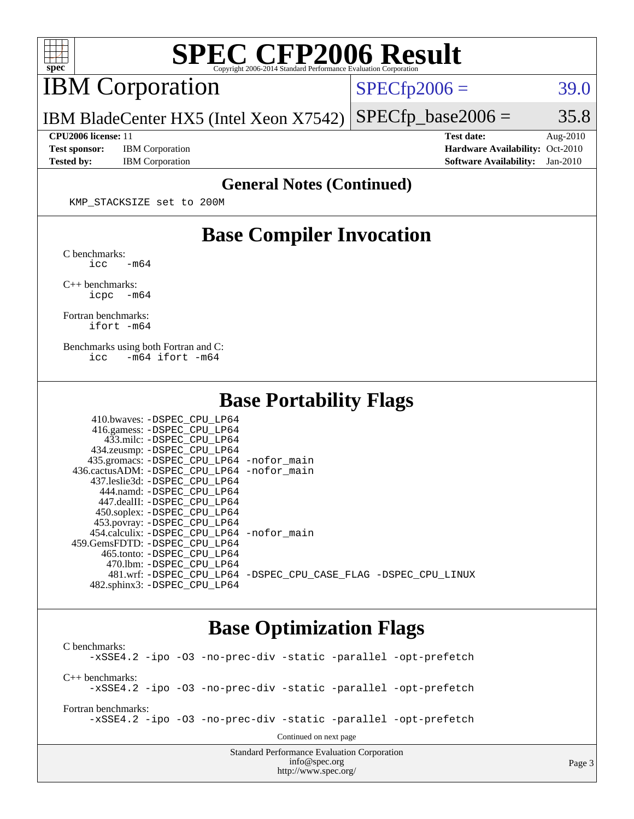

# **[SPEC CFP2006 Result](http://www.spec.org/auto/cpu2006/Docs/result-fields.html#SPECCFP2006Result)**

IBM Corporation

 $SPECTp2006 = 39.0$ 

Page 3

IBM BladeCenter HX5 (Intel Xeon X7542)  $SPECTp\_base2006 = 35.8$ 

**[Test sponsor:](http://www.spec.org/auto/cpu2006/Docs/result-fields.html#Testsponsor)** IBM Corporation **[Hardware Availability:](http://www.spec.org/auto/cpu2006/Docs/result-fields.html#HardwareAvailability)** Oct-2010 **[Tested by:](http://www.spec.org/auto/cpu2006/Docs/result-fields.html#Testedby)** IBM Corporation **[Software Availability:](http://www.spec.org/auto/cpu2006/Docs/result-fields.html#SoftwareAvailability)** Jan-2010

**[CPU2006 license:](http://www.spec.org/auto/cpu2006/Docs/result-fields.html#CPU2006license)** 11 **[Test date:](http://www.spec.org/auto/cpu2006/Docs/result-fields.html#Testdate)** Aug-2010

### **[General Notes \(Continued\)](http://www.spec.org/auto/cpu2006/Docs/result-fields.html#GeneralNotes)**

KMP\_STACKSIZE set to 200M

## **[Base Compiler Invocation](http://www.spec.org/auto/cpu2006/Docs/result-fields.html#BaseCompilerInvocation)**

[C benchmarks](http://www.spec.org/auto/cpu2006/Docs/result-fields.html#Cbenchmarks):  $\text{icc}$   $-\text{m64}$ 

[C++ benchmarks:](http://www.spec.org/auto/cpu2006/Docs/result-fields.html#CXXbenchmarks) [icpc -m64](http://www.spec.org/cpu2006/results/res2010q3/cpu2006-20100817-12993.flags.html#user_CXXbase_intel_icpc_64bit_bedb90c1146cab66620883ef4f41a67e)

[Fortran benchmarks](http://www.spec.org/auto/cpu2006/Docs/result-fields.html#Fortranbenchmarks): [ifort -m64](http://www.spec.org/cpu2006/results/res2010q3/cpu2006-20100817-12993.flags.html#user_FCbase_intel_ifort_64bit_ee9d0fb25645d0210d97eb0527dcc06e)

[Benchmarks using both Fortran and C](http://www.spec.org/auto/cpu2006/Docs/result-fields.html#BenchmarksusingbothFortranandC): [icc -m64](http://www.spec.org/cpu2006/results/res2010q3/cpu2006-20100817-12993.flags.html#user_CC_FCbase_intel_icc_64bit_0b7121f5ab7cfabee23d88897260401c) [ifort -m64](http://www.spec.org/cpu2006/results/res2010q3/cpu2006-20100817-12993.flags.html#user_CC_FCbase_intel_ifort_64bit_ee9d0fb25645d0210d97eb0527dcc06e)

### **[Base Portability Flags](http://www.spec.org/auto/cpu2006/Docs/result-fields.html#BasePortabilityFlags)**

| 410.bwaves: -DSPEC CPU LP64                |                                                                |
|--------------------------------------------|----------------------------------------------------------------|
| 416.gamess: -DSPEC_CPU_LP64                |                                                                |
| 433.milc: -DSPEC CPU LP64                  |                                                                |
| 434.zeusmp: -DSPEC_CPU_LP64                |                                                                |
| 435.gromacs: -DSPEC_CPU_LP64 -nofor_main   |                                                                |
| 436.cactusADM: -DSPEC CPU LP64 -nofor main |                                                                |
| 437.leslie3d: -DSPEC CPU LP64              |                                                                |
| 444.namd: -DSPEC CPU LP64                  |                                                                |
| 447.dealII: -DSPEC CPU LP64                |                                                                |
| 450.soplex: -DSPEC_CPU_LP64                |                                                                |
| 453.povray: -DSPEC_CPU_LP64                |                                                                |
| 454.calculix: -DSPEC CPU LP64 -nofor main  |                                                                |
| 459.GemsFDTD: -DSPEC CPU LP64              |                                                                |
| 465.tonto: - DSPEC CPU LP64                |                                                                |
| 470.1bm: - DSPEC CPU LP64                  |                                                                |
|                                            | 481.wrf: -DSPEC CPU_LP64 -DSPEC_CPU_CASE_FLAG -DSPEC_CPU_LINUX |
| 482.sphinx3: -DSPEC CPU LP64               |                                                                |

## **[Base Optimization Flags](http://www.spec.org/auto/cpu2006/Docs/result-fields.html#BaseOptimizationFlags)**

<http://www.spec.org/>

Standard Performance Evaluation Corporation [info@spec.org](mailto:info@spec.org) [C benchmarks](http://www.spec.org/auto/cpu2006/Docs/result-fields.html#Cbenchmarks): [-xSSE4.2](http://www.spec.org/cpu2006/results/res2010q3/cpu2006-20100817-12993.flags.html#user_CCbase_f-xSSE42_f91528193cf0b216347adb8b939d4107) [-ipo](http://www.spec.org/cpu2006/results/res2010q3/cpu2006-20100817-12993.flags.html#user_CCbase_f-ipo) [-O3](http://www.spec.org/cpu2006/results/res2010q3/cpu2006-20100817-12993.flags.html#user_CCbase_f-O3) [-no-prec-div](http://www.spec.org/cpu2006/results/res2010q3/cpu2006-20100817-12993.flags.html#user_CCbase_f-no-prec-div) [-static](http://www.spec.org/cpu2006/results/res2010q3/cpu2006-20100817-12993.flags.html#user_CCbase_f-static) [-parallel](http://www.spec.org/cpu2006/results/res2010q3/cpu2006-20100817-12993.flags.html#user_CCbase_f-parallel) [-opt-prefetch](http://www.spec.org/cpu2006/results/res2010q3/cpu2006-20100817-12993.flags.html#user_CCbase_f-opt-prefetch) [C++ benchmarks:](http://www.spec.org/auto/cpu2006/Docs/result-fields.html#CXXbenchmarks) [-xSSE4.2](http://www.spec.org/cpu2006/results/res2010q3/cpu2006-20100817-12993.flags.html#user_CXXbase_f-xSSE42_f91528193cf0b216347adb8b939d4107) [-ipo](http://www.spec.org/cpu2006/results/res2010q3/cpu2006-20100817-12993.flags.html#user_CXXbase_f-ipo) [-O3](http://www.spec.org/cpu2006/results/res2010q3/cpu2006-20100817-12993.flags.html#user_CXXbase_f-O3) [-no-prec-div](http://www.spec.org/cpu2006/results/res2010q3/cpu2006-20100817-12993.flags.html#user_CXXbase_f-no-prec-div) [-static](http://www.spec.org/cpu2006/results/res2010q3/cpu2006-20100817-12993.flags.html#user_CXXbase_f-static) [-parallel](http://www.spec.org/cpu2006/results/res2010q3/cpu2006-20100817-12993.flags.html#user_CXXbase_f-parallel) [-opt-prefetch](http://www.spec.org/cpu2006/results/res2010q3/cpu2006-20100817-12993.flags.html#user_CXXbase_f-opt-prefetch) [Fortran benchmarks](http://www.spec.org/auto/cpu2006/Docs/result-fields.html#Fortranbenchmarks): [-xSSE4.2](http://www.spec.org/cpu2006/results/res2010q3/cpu2006-20100817-12993.flags.html#user_FCbase_f-xSSE42_f91528193cf0b216347adb8b939d4107) [-ipo](http://www.spec.org/cpu2006/results/res2010q3/cpu2006-20100817-12993.flags.html#user_FCbase_f-ipo) [-O3](http://www.spec.org/cpu2006/results/res2010q3/cpu2006-20100817-12993.flags.html#user_FCbase_f-O3) [-no-prec-div](http://www.spec.org/cpu2006/results/res2010q3/cpu2006-20100817-12993.flags.html#user_FCbase_f-no-prec-div) [-static](http://www.spec.org/cpu2006/results/res2010q3/cpu2006-20100817-12993.flags.html#user_FCbase_f-static) [-parallel](http://www.spec.org/cpu2006/results/res2010q3/cpu2006-20100817-12993.flags.html#user_FCbase_f-parallel) [-opt-prefetch](http://www.spec.org/cpu2006/results/res2010q3/cpu2006-20100817-12993.flags.html#user_FCbase_f-opt-prefetch) Continued on next page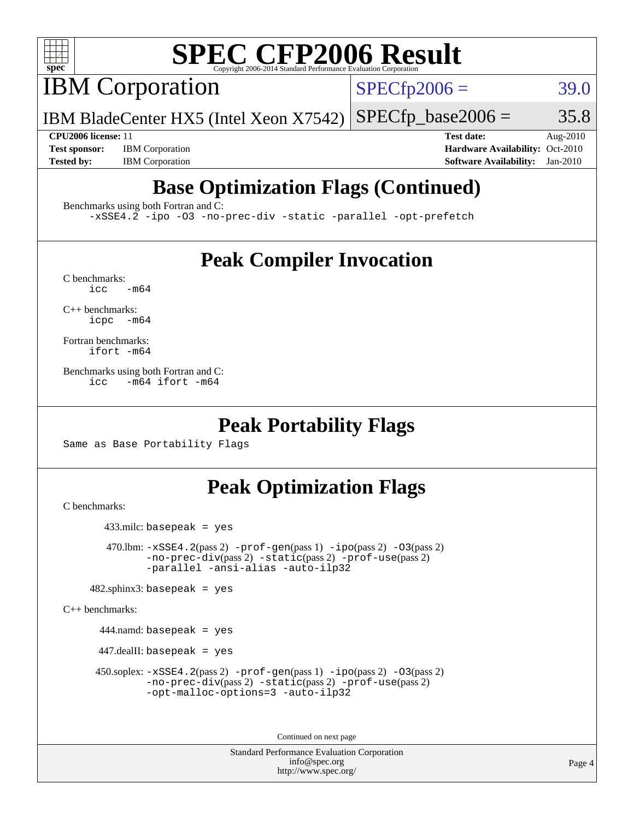

# **[SPEC CFP2006 Result](http://www.spec.org/auto/cpu2006/Docs/result-fields.html#SPECCFP2006Result)**

IBM Corporation

 $SPECfp2006 = 39.0$  $SPECfp2006 = 39.0$ 

IBM BladeCenter HX5 (Intel Xeon X7542)  $SPECTp\_base2006 = 35.8$ 

**[Test sponsor:](http://www.spec.org/auto/cpu2006/Docs/result-fields.html#Testsponsor)** IBM Corporation **[Hardware Availability:](http://www.spec.org/auto/cpu2006/Docs/result-fields.html#HardwareAvailability)** Oct-2010

**[CPU2006 license:](http://www.spec.org/auto/cpu2006/Docs/result-fields.html#CPU2006license)** 11 **[Test date:](http://www.spec.org/auto/cpu2006/Docs/result-fields.html#Testdate)** Aug-2010 **[Tested by:](http://www.spec.org/auto/cpu2006/Docs/result-fields.html#Testedby)** IBM Corporation **[Software Availability:](http://www.spec.org/auto/cpu2006/Docs/result-fields.html#SoftwareAvailability)** Jan-2010

# **[Base Optimization Flags \(Continued\)](http://www.spec.org/auto/cpu2006/Docs/result-fields.html#BaseOptimizationFlags)**

[Benchmarks using both Fortran and C](http://www.spec.org/auto/cpu2006/Docs/result-fields.html#BenchmarksusingbothFortranandC):

[-xSSE4.2](http://www.spec.org/cpu2006/results/res2010q3/cpu2006-20100817-12993.flags.html#user_CC_FCbase_f-xSSE42_f91528193cf0b216347adb8b939d4107) [-ipo](http://www.spec.org/cpu2006/results/res2010q3/cpu2006-20100817-12993.flags.html#user_CC_FCbase_f-ipo) [-O3](http://www.spec.org/cpu2006/results/res2010q3/cpu2006-20100817-12993.flags.html#user_CC_FCbase_f-O3) [-no-prec-div](http://www.spec.org/cpu2006/results/res2010q3/cpu2006-20100817-12993.flags.html#user_CC_FCbase_f-no-prec-div) [-static](http://www.spec.org/cpu2006/results/res2010q3/cpu2006-20100817-12993.flags.html#user_CC_FCbase_f-static) [-parallel](http://www.spec.org/cpu2006/results/res2010q3/cpu2006-20100817-12993.flags.html#user_CC_FCbase_f-parallel) [-opt-prefetch](http://www.spec.org/cpu2006/results/res2010q3/cpu2006-20100817-12993.flags.html#user_CC_FCbase_f-opt-prefetch)

# **[Peak Compiler Invocation](http://www.spec.org/auto/cpu2006/Docs/result-fields.html#PeakCompilerInvocation)**

 $C$  benchmarks:<br>icc  $-m64$ 

[C++ benchmarks:](http://www.spec.org/auto/cpu2006/Docs/result-fields.html#CXXbenchmarks) [icpc -m64](http://www.spec.org/cpu2006/results/res2010q3/cpu2006-20100817-12993.flags.html#user_CXXpeak_intel_icpc_64bit_bedb90c1146cab66620883ef4f41a67e)

[Fortran benchmarks](http://www.spec.org/auto/cpu2006/Docs/result-fields.html#Fortranbenchmarks): [ifort -m64](http://www.spec.org/cpu2006/results/res2010q3/cpu2006-20100817-12993.flags.html#user_FCpeak_intel_ifort_64bit_ee9d0fb25645d0210d97eb0527dcc06e)

[Benchmarks using both Fortran and C](http://www.spec.org/auto/cpu2006/Docs/result-fields.html#BenchmarksusingbothFortranandC): [icc -m64](http://www.spec.org/cpu2006/results/res2010q3/cpu2006-20100817-12993.flags.html#user_CC_FCpeak_intel_icc_64bit_0b7121f5ab7cfabee23d88897260401c) [ifort -m64](http://www.spec.org/cpu2006/results/res2010q3/cpu2006-20100817-12993.flags.html#user_CC_FCpeak_intel_ifort_64bit_ee9d0fb25645d0210d97eb0527dcc06e)

### **[Peak Portability Flags](http://www.spec.org/auto/cpu2006/Docs/result-fields.html#PeakPortabilityFlags)**

Same as Base Portability Flags

# **[Peak Optimization Flags](http://www.spec.org/auto/cpu2006/Docs/result-fields.html#PeakOptimizationFlags)**

[C benchmarks](http://www.spec.org/auto/cpu2006/Docs/result-fields.html#Cbenchmarks):

433.milc: basepeak = yes

470.1bm:  $-xSSE4$ . 2(pass 2)  $-prof-gen(pass 1) -ipo(pass 2) -O3(pass 2)$  $-prof-gen(pass 1) -ipo(pass 2) -O3(pass 2)$  $-prof-gen(pass 1) -ipo(pass 2) -O3(pass 2)$  $-prof-gen(pass 1) -ipo(pass 2) -O3(pass 2)$  $-prof-gen(pass 1) -ipo(pass 2) -O3(pass 2)$  $-prof-gen(pass 1) -ipo(pass 2) -O3(pass 2)$ [-no-prec-div](http://www.spec.org/cpu2006/results/res2010q3/cpu2006-20100817-12993.flags.html#user_peakPASS2_CFLAGSPASS2_LDFLAGS470_lbm_f-no-prec-div)(pass 2) [-static](http://www.spec.org/cpu2006/results/res2010q3/cpu2006-20100817-12993.flags.html#user_peakPASS2_CFLAGSPASS2_LDFLAGS470_lbm_f-static)(pass 2) [-prof-use](http://www.spec.org/cpu2006/results/res2010q3/cpu2006-20100817-12993.flags.html#user_peakPASS2_CFLAGSPASS2_LDFLAGS470_lbm_prof_use_bccf7792157ff70d64e32fe3e1250b55)(pass 2) [-parallel](http://www.spec.org/cpu2006/results/res2010q3/cpu2006-20100817-12993.flags.html#user_peakOPTIMIZE470_lbm_f-parallel) [-ansi-alias](http://www.spec.org/cpu2006/results/res2010q3/cpu2006-20100817-12993.flags.html#user_peakOPTIMIZE470_lbm_f-ansi-alias) [-auto-ilp32](http://www.spec.org/cpu2006/results/res2010q3/cpu2006-20100817-12993.flags.html#user_peakCOPTIMIZE470_lbm_f-auto-ilp32)

 $482$ .sphinx3: basepeak = yes

[C++ benchmarks:](http://www.spec.org/auto/cpu2006/Docs/result-fields.html#CXXbenchmarks)

444.namd: basepeak = yes

 $447$ .dealII: basepeak = yes

 450.soplex: [-xSSE4.2](http://www.spec.org/cpu2006/results/res2010q3/cpu2006-20100817-12993.flags.html#user_peakPASS2_CXXFLAGSPASS2_LDFLAGS450_soplex_f-xSSE42_f91528193cf0b216347adb8b939d4107)(pass 2) [-prof-gen](http://www.spec.org/cpu2006/results/res2010q3/cpu2006-20100817-12993.flags.html#user_peakPASS1_CXXFLAGSPASS1_LDFLAGS450_soplex_prof_gen_e43856698f6ca7b7e442dfd80e94a8fc)(pass 1) [-ipo](http://www.spec.org/cpu2006/results/res2010q3/cpu2006-20100817-12993.flags.html#user_peakPASS2_CXXFLAGSPASS2_LDFLAGS450_soplex_f-ipo)(pass 2) [-O3](http://www.spec.org/cpu2006/results/res2010q3/cpu2006-20100817-12993.flags.html#user_peakPASS2_CXXFLAGSPASS2_LDFLAGS450_soplex_f-O3)(pass 2) [-no-prec-div](http://www.spec.org/cpu2006/results/res2010q3/cpu2006-20100817-12993.flags.html#user_peakPASS2_CXXFLAGSPASS2_LDFLAGS450_soplex_f-no-prec-div)(pass 2) [-static](http://www.spec.org/cpu2006/results/res2010q3/cpu2006-20100817-12993.flags.html#user_peakPASS2_CXXFLAGSPASS2_LDFLAGS450_soplex_f-static)(pass 2) [-prof-use](http://www.spec.org/cpu2006/results/res2010q3/cpu2006-20100817-12993.flags.html#user_peakPASS2_CXXFLAGSPASS2_LDFLAGS450_soplex_prof_use_bccf7792157ff70d64e32fe3e1250b55)(pass 2) [-opt-malloc-options=3](http://www.spec.org/cpu2006/results/res2010q3/cpu2006-20100817-12993.flags.html#user_peakOPTIMIZE450_soplex_f-opt-malloc-options_13ab9b803cf986b4ee62f0a5998c2238) [-auto-ilp32](http://www.spec.org/cpu2006/results/res2010q3/cpu2006-20100817-12993.flags.html#user_peakCXXOPTIMIZE450_soplex_f-auto-ilp32)

Continued on next page

Standard Performance Evaluation Corporation [info@spec.org](mailto:info@spec.org) <http://www.spec.org/>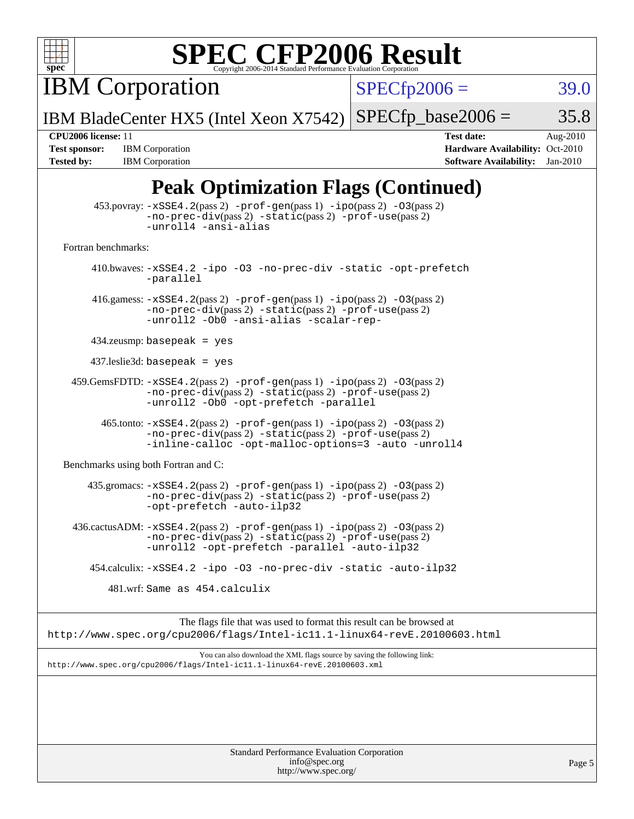

# **[SPEC CFP2006 Result](http://www.spec.org/auto/cpu2006/Docs/result-fields.html#SPECCFP2006Result)**

**IBM Corporation** 

 $SPECfp2006 = 39.0$  $SPECfp2006 = 39.0$ 

IBM BladeCenter HX5 (Intel Xeon X7542)  $SPECTp\_base2006 = 35.8$ 

**[Tested by:](http://www.spec.org/auto/cpu2006/Docs/result-fields.html#Testedby)** IBM Corporation **[Software Availability:](http://www.spec.org/auto/cpu2006/Docs/result-fields.html#SoftwareAvailability)** Jan-2010

**[CPU2006 license:](http://www.spec.org/auto/cpu2006/Docs/result-fields.html#CPU2006license)** 11 **[Test date:](http://www.spec.org/auto/cpu2006/Docs/result-fields.html#Testdate)** Aug-2010 [Test sponsor:](http://www.spec.org/auto/cpu2006/Docs/result-fields.html#Testsponsor) IBM Corporation **[Hardware Availability:](http://www.spec.org/auto/cpu2006/Docs/result-fields.html#HardwareAvailability)** Oct-2010

# **[Peak Optimization Flags \(Continued\)](http://www.spec.org/auto/cpu2006/Docs/result-fields.html#PeakOptimizationFlags)**

|                                      | $453.$ povray: $-xSSE4$ . $2(pass 2)$ -prof-gen $(pass 1)$ -ipo $(pass 2)$ -03 $(pass 2)$<br>-no-prec-div(pass 2) -static(pass 2) -prof-use(pass 2)<br>-unroll4 -ansi-alias                               |
|--------------------------------------|-----------------------------------------------------------------------------------------------------------------------------------------------------------------------------------------------------------|
| Fortran benchmarks:                  |                                                                                                                                                                                                           |
|                                      | 410.bwaves: -xSSE4.2 -ipo -03 -no-prec-div -static -opt-prefetch<br>-parallel                                                                                                                             |
|                                      | 416.gamess: $-xSSE4$ . 2(pass 2) $-prof-gen(pass 1) -ipo(pass 2) -O3(pass 2)$<br>-no-prec-div(pass 2) -static(pass 2) -prof-use(pass 2)<br>-unroll2 -Ob0 -ansi-alias -scalar-rep-                         |
|                                      | $434$ .zeusmp: basepeak = yes                                                                                                                                                                             |
|                                      | $437$ .leslie3d: basepeak = yes                                                                                                                                                                           |
|                                      | $459.GemsFDTD: -xSSE4.2(pass 2) -prof-gen(pass 1) -ipo(pass 2) -03(pass 2)$<br>-no-prec-div(pass 2) -static(pass 2) -prof-use(pass 2)<br>-unroll2 - Ob0 - opt-prefetch - parallel                         |
|                                      | $465$ .tonto: $-xSSE4$ . $2(pass 2)$ -prof-gen $(pass 1)$ -ipo $(pass 2)$ -03 $(pass 2)$<br>-no-prec-div(pass 2) -static(pass 2) -prof-use(pass 2)<br>-inline-calloc -opt-malloc-options=3 -auto -unroll4 |
| Benchmarks using both Fortran and C: |                                                                                                                                                                                                           |
|                                      | 435.gromacs: -xSSE4.2(pass 2) -prof-gen(pass 1) -ipo(pass 2) -03(pass 2)<br>-no-prec-div(pass 2) -static(pass 2) -prof-use(pass 2)<br>-opt-prefetch -auto-ilp32                                           |
|                                      | 436.cactusADM: -xSSE4.2(pass 2) -prof-gen(pass 1) -ipo(pass 2) -03(pass 2)<br>$-no\text{-prec-div}(pass 2)$ $-static(pass 2)$ $-prot\text{-use}(pass 2)$<br>-unroll2 -opt-prefetch -parallel -auto-ilp32  |
|                                      | 454.calculix: -xSSE4.2 -ipo -03 -no-prec-div -static -auto-ilp32                                                                                                                                          |
|                                      | 481.wrf: Same as 454.calculix                                                                                                                                                                             |
|                                      | The flags file that was used to format this result can be browsed at<br>http://www.spec.org/cpu2006/flags/Intel-ic11.1-linux64-revE.20100603.html                                                         |
|                                      | You can also download the XML flags source by saving the following link:<br>http://www.spec.org/cpu2006/flags/Intel-icl1.1-linux64-revE.20100603.xml                                                      |
|                                      |                                                                                                                                                                                                           |
|                                      |                                                                                                                                                                                                           |